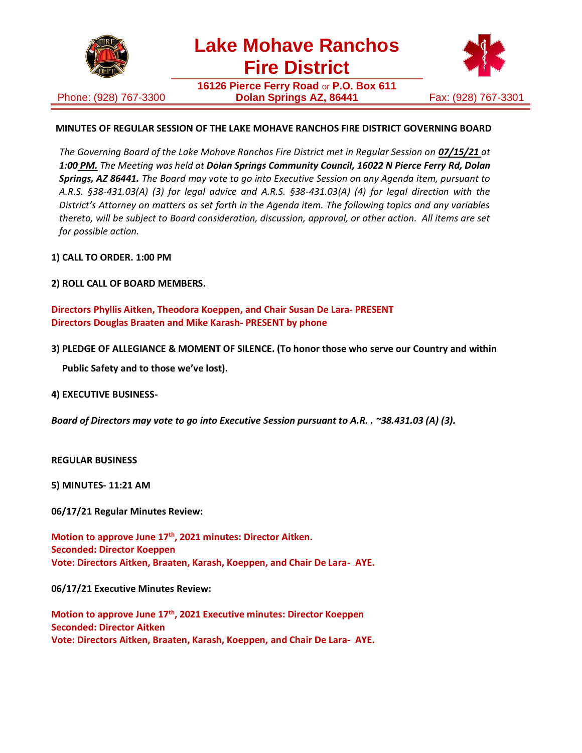

**Lake Mohave Ranchos Fire District**

Phone: (928) 767-3300

**16126 Pierce Ferry Road** or **P.O. Box 611 Dolan Springs AZ, 86441** Fax: (928) 767-3301



# **MINUTES OF REGULAR SESSION OF THE LAKE MOHAVE RANCHOS FIRE DISTRICT GOVERNING BOARD**

*The Governing Board of the Lake Mohave Ranchos Fire District met in Regular Session on 07/15/21 at 1:00 PM. The Meeting was held at Dolan Springs Community Council, 16022 N Pierce Ferry Rd, Dolan Springs, AZ 86441. The Board may vote to go into Executive Session on any Agenda item, pursuant to A.R.S. §38-431.03(A) (3) for legal advice and A.R.S. §38-431.03(A) (4) for legal direction with the District's Attorney on matters as set forth in the Agenda item. The following topics and any variables thereto, will be subject to Board consideration, discussion, approval, or other action. All items are set for possible action.*

**1) CALL TO ORDER. 1:00 PM**

**2) ROLL CALL OF BOARD MEMBERS.**

**Directors Phyllis Aitken, Theodora Koeppen, and Chair Susan De Lara- PRESENT Directors Douglas Braaten and Mike Karash- PRESENT by phone**

**3) PLEDGE OF ALLEGIANCE & MOMENT OF SILENCE. (To honor those who serve our Country and within**

**Public Safety and to those we've lost).**

**4) EXECUTIVE BUSINESS-**

*Board of Directors may vote to go into Executive Session pursuant to A.R. . ~38.431.03 (A) (3).*

**REGULAR BUSINESS**

**5) MINUTES- 11:21 AM**

**06/17/21 Regular Minutes Review:**

**Motion to approve June 17th, 2021 minutes: Director Aitken. Seconded: Director Koeppen Vote: Directors Aitken, Braaten, Karash, Koeppen, and Chair De Lara- AYE.**

**06/17/21 Executive Minutes Review:**

**Motion to approve June 17th, 2021 Executive minutes: Director Koeppen Seconded: Director Aitken Vote: Directors Aitken, Braaten, Karash, Koeppen, and Chair De Lara- AYE.**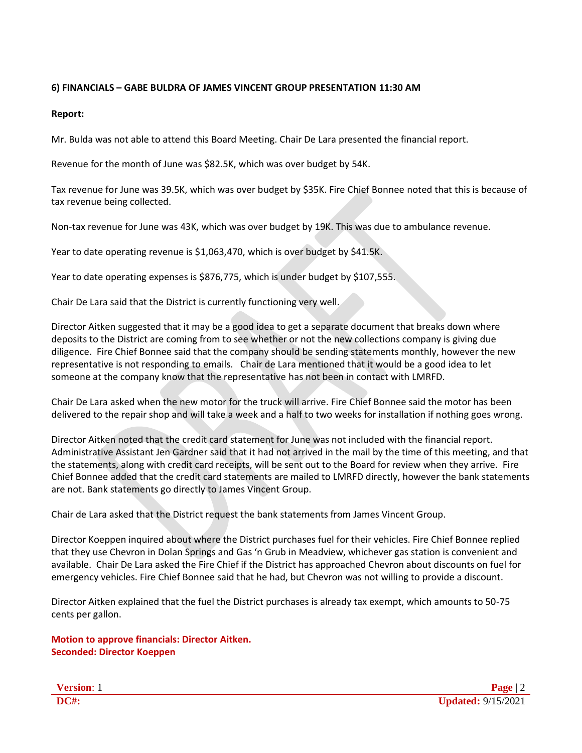### **6) FINANCIALS – GABE BULDRA OF JAMES VINCENT GROUP PRESENTATION 11:30 AM**

#### **Report:**

Mr. Bulda was not able to attend this Board Meeting. Chair De Lara presented the financial report.

Revenue for the month of June was \$82.5K, which was over budget by 54K.

Tax revenue for June was 39.5K, which was over budget by \$35K. Fire Chief Bonnee noted that this is because of tax revenue being collected.

Non-tax revenue for June was 43K, which was over budget by 19K. This was due to ambulance revenue.

Year to date operating revenue is \$1,063,470, which is over budget by \$41.5K.

Year to date operating expenses is \$876,775, which is under budget by \$107,555.

Chair De Lara said that the District is currently functioning very well.

Director Aitken suggested that it may be a good idea to get a separate document that breaks down where deposits to the District are coming from to see whether or not the new collections company is giving due diligence. Fire Chief Bonnee said that the company should be sending statements monthly, however the new representative is not responding to emails. Chair de Lara mentioned that it would be a good idea to let someone at the company know that the representative has not been in contact with LMRFD.

Chair De Lara asked when the new motor for the truck will arrive. Fire Chief Bonnee said the motor has been delivered to the repair shop and will take a week and a half to two weeks for installation if nothing goes wrong.

Director Aitken noted that the credit card statement for June was not included with the financial report. Administrative Assistant Jen Gardner said that it had not arrived in the mail by the time of this meeting, and that the statements, along with credit card receipts, will be sent out to the Board for review when they arrive. Fire Chief Bonnee added that the credit card statements are mailed to LMRFD directly, however the bank statements are not. Bank statements go directly to James Vincent Group.

Chair de Lara asked that the District request the bank statements from James Vincent Group.

Director Koeppen inquired about where the District purchases fuel for their vehicles. Fire Chief Bonnee replied that they use Chevron in Dolan Springs and Gas 'n Grub in Meadview, whichever gas station is convenient and available. Chair De Lara asked the Fire Chief if the District has approached Chevron about discounts on fuel for emergency vehicles. Fire Chief Bonnee said that he had, but Chevron was not willing to provide a discount.

Director Aitken explained that the fuel the District purchases is already tax exempt, which amounts to 50-75 cents per gallon.

**Motion to approve financials: Director Aitken. Seconded: Director Koeppen**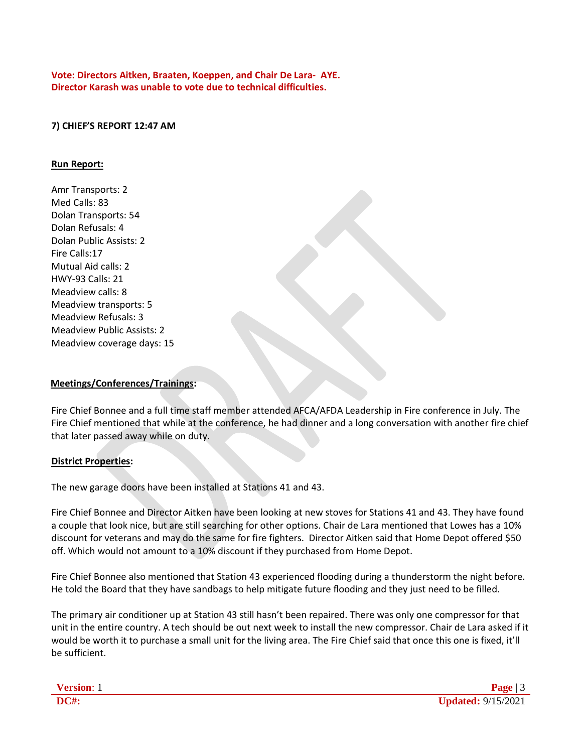**Vote: Directors Aitken, Braaten, Koeppen, and Chair De Lara- AYE. Director Karash was unable to vote due to technical difficulties.**

#### **7) CHIEF'S REPORT 12:47 AM**

#### **Run Report:**

Amr Transports: 2 Med Calls: 83 Dolan Transports: 54 Dolan Refusals: 4 Dolan Public Assists: 2 Fire Calls:17 Mutual Aid calls: 2 HWY-93 Calls: 21 Meadview calls: 8 Meadview transports: 5 Meadview Refusals: 3 Meadview Public Assists: 2 Meadview coverage days: 15

#### **Meetings/Conferences/Trainings:**

Fire Chief Bonnee and a full time staff member attended AFCA/AFDA Leadership in Fire conference in July. The Fire Chief mentioned that while at the conference, he had dinner and a long conversation with another fire chief that later passed away while on duty.

#### **District Properties:**

The new garage doors have been installed at Stations 41 and 43.

Fire Chief Bonnee and Director Aitken have been looking at new stoves for Stations 41 and 43. They have found a couple that look nice, but are still searching for other options. Chair de Lara mentioned that Lowes has a 10% discount for veterans and may do the same for fire fighters. Director Aitken said that Home Depot offered \$50 off. Which would not amount to a 10% discount if they purchased from Home Depot.

Fire Chief Bonnee also mentioned that Station 43 experienced flooding during a thunderstorm the night before. He told the Board that they have sandbags to help mitigate future flooding and they just need to be filled.

The primary air conditioner up at Station 43 still hasn't been repaired. There was only one compressor for that unit in the entire country. A tech should be out next week to install the new compressor. Chair de Lara asked if it would be worth it to purchase a small unit for the living area. The Fire Chief said that once this one is fixed, it'll be sufficient.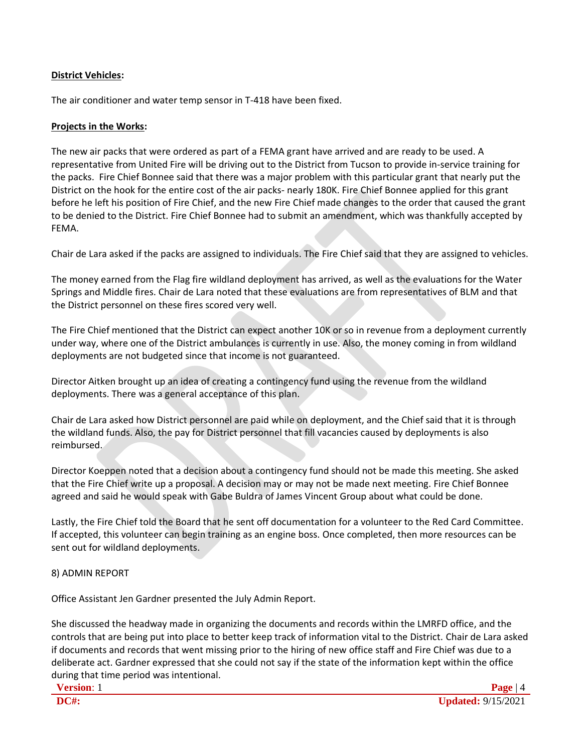# **District Vehicles:**

The air conditioner and water temp sensor in T-418 have been fixed.

# **Projects in the Works:**

The new air packs that were ordered as part of a FEMA grant have arrived and are ready to be used. A representative from United Fire will be driving out to the District from Tucson to provide in-service training for the packs. Fire Chief Bonnee said that there was a major problem with this particular grant that nearly put the District on the hook for the entire cost of the air packs- nearly 180K. Fire Chief Bonnee applied for this grant before he left his position of Fire Chief, and the new Fire Chief made changes to the order that caused the grant to be denied to the District. Fire Chief Bonnee had to submit an amendment, which was thankfully accepted by FEMA.

Chair de Lara asked if the packs are assigned to individuals. The Fire Chief said that they are assigned to vehicles.

The money earned from the Flag fire wildland deployment has arrived, as well as the evaluations for the Water Springs and Middle fires. Chair de Lara noted that these evaluations are from representatives of BLM and that the District personnel on these fires scored very well.

The Fire Chief mentioned that the District can expect another 10K or so in revenue from a deployment currently under way, where one of the District ambulances is currently in use. Also, the money coming in from wildland deployments are not budgeted since that income is not guaranteed.

Director Aitken brought up an idea of creating a contingency fund using the revenue from the wildland deployments. There was a general acceptance of this plan.

Chair de Lara asked how District personnel are paid while on deployment, and the Chief said that it is through the wildland funds. Also, the pay for District personnel that fill vacancies caused by deployments is also reimbursed.

Director Koeppen noted that a decision about a contingency fund should not be made this meeting. She asked that the Fire Chief write up a proposal. A decision may or may not be made next meeting. Fire Chief Bonnee agreed and said he would speak with Gabe Buldra of James Vincent Group about what could be done.

Lastly, the Fire Chief told the Board that he sent off documentation for a volunteer to the Red Card Committee. If accepted, this volunteer can begin training as an engine boss. Once completed, then more resources can be sent out for wildland deployments.

# 8) ADMIN REPORT

Office Assistant Jen Gardner presented the July Admin Report.

She discussed the headway made in organizing the documents and records within the LMRFD office, and the controls that are being put into place to better keep track of information vital to the District. Chair de Lara asked if documents and records that went missing prior to the hiring of new office staff and Fire Chief was due to a deliberate act. Gardner expressed that she could not say if the state of the information kept within the office during that time period was intentional.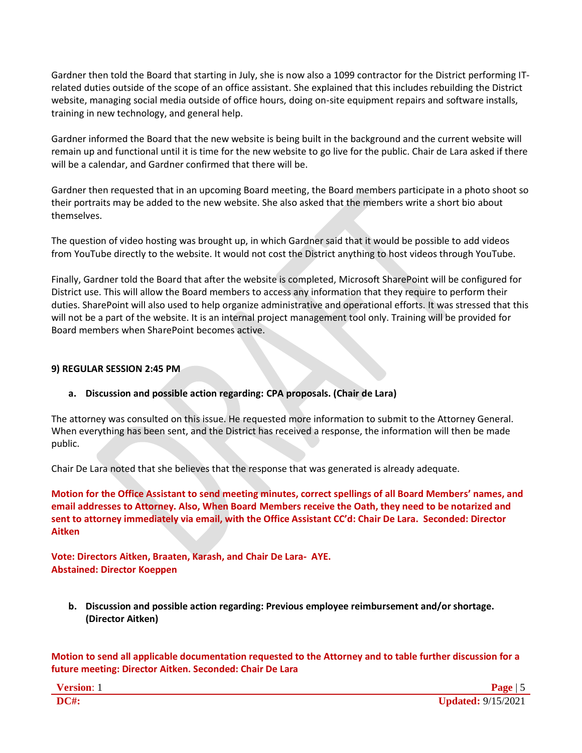Gardner then told the Board that starting in July, she is now also a 1099 contractor for the District performing ITrelated duties outside of the scope of an office assistant. She explained that this includes rebuilding the District website, managing social media outside of office hours, doing on-site equipment repairs and software installs, training in new technology, and general help.

Gardner informed the Board that the new website is being built in the background and the current website will remain up and functional until it is time for the new website to go live for the public. Chair de Lara asked if there will be a calendar, and Gardner confirmed that there will be.

Gardner then requested that in an upcoming Board meeting, the Board members participate in a photo shoot so their portraits may be added to the new website. She also asked that the members write a short bio about themselves.

The question of video hosting was brought up, in which Gardner said that it would be possible to add videos from YouTube directly to the website. It would not cost the District anything to host videos through YouTube.

Finally, Gardner told the Board that after the website is completed, Microsoft SharePoint will be configured for District use. This will allow the Board members to access any information that they require to perform their duties. SharePoint will also used to help organize administrative and operational efforts. It was stressed that this will not be a part of the website. It is an internal project management tool only. Training will be provided for Board members when SharePoint becomes active.

# **9) REGULAR SESSION 2:45 PM**

# **a. Discussion and possible action regarding: CPA proposals. (Chair de Lara)**

The attorney was consulted on this issue. He requested more information to submit to the Attorney General. When everything has been sent, and the District has received a response, the information will then be made public.

Chair De Lara noted that she believes that the response that was generated is already adequate.

**Motion for the Office Assistant to send meeting minutes, correct spellings of all Board Members' names, and email addresses to Attorney. Also, When Board Members receive the Oath, they need to be notarized and sent to attorney immediately via email, with the Office Assistant CC'd: Chair De Lara. Seconded: Director Aitken**

**Vote: Directors Aitken, Braaten, Karash, and Chair De Lara- AYE. Abstained: Director Koeppen**

**b. Discussion and possible action regarding: Previous employee reimbursement and/or shortage. (Director Aitken)**

**Motion to send all applicable documentation requested to the Attorney and to table further discussion for a future meeting: Director Aitken. Seconded: Chair De Lara**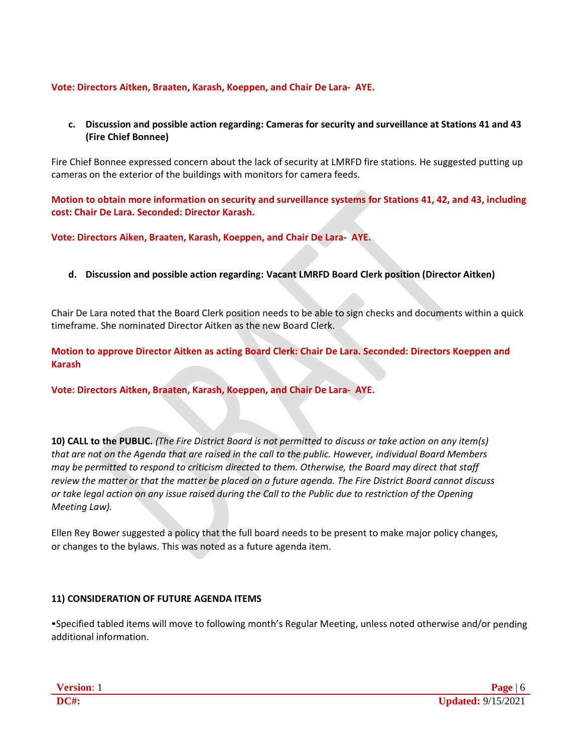### **Vote: Directors Aitken, Braaten, Karash, Koeppen, and Chair De Lara- AYE.**

### **c. Discussion and possible action regarding: Cameras for security and surveillance at Stations 41 and 43 (Fire Chief Bonnee)**

Fire Chief Bonnee expressed concern about the lack of security at LMRFD fire stations. He suggested putting up cameras on the exterior of the buildings with monitors for camera feeds.

**Motion to obtain more information on security and surveillance systems for Stations 41, 42, and 43, including cost: Chair De Lara. Seconded: Director Karash.**

**Vote: Directors Aiken, Braaten, Karash, Koeppen, and Chair De Lara- AYE.**

**d. Discussion and possible action regarding: Vacant LMRFD Board Clerk position (Director Aitken)**

Chair De Lara noted that the Board Clerk position needs to be able to sign checks and documents within a quick timeframe. She nominated Director Aitken as the new Board Clerk.

**Motion to approve Director Aitken as acting Board Clerk: Chair De Lara. Seconded: Directors Koeppen and Karash**

**Vote: Directors Aitken, Braaten, Karash, Koeppen, and Chair De Lara- AYE.**

**10) CALL to the PUBLIC.** *(The Fire District Board is not permitted to discuss or take action on any item(s) that are not on the Agenda that are raised in the call to the public. However, individual Board Members may be permitted to respond to criticism directed to them. Otherwise, the Board may direct that staff review the matter or that the matter be placed on a future agenda. The Fire District Board cannot discuss or take legal action on any issue raised during the Call to the Public due to restriction of the Opening Meeting Law).*

Ellen Rey Bower suggested a policy that the full board needs to be present to make major policy changes, or changes to the bylaws. This was noted as a future agenda item.

#### **11) CONSIDERATION OF FUTURE AGENDA ITEMS**

▪Specified tabled items will move to following month's Regular Meeting, unless noted otherwise and/or pending additional information.